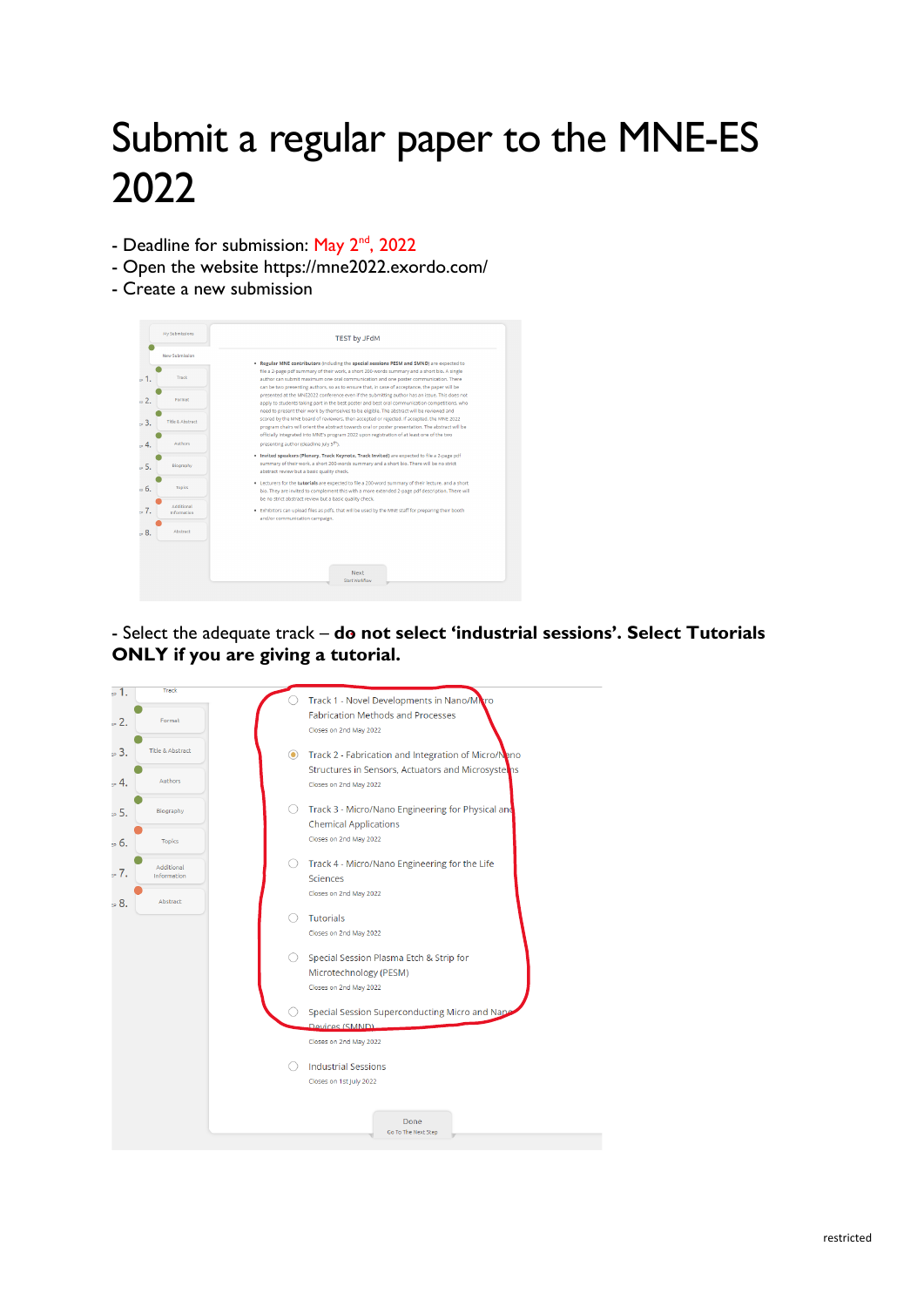## Submit a regular paper to the MNE-ES 2022

- Deadline for submission: May 2<sup>nd</sup>, 2022
- Open the website https://mne2022.exordo.com/
- Create a new submission



- Select the adequate track – **do not select 'industrial sessions'. Select Tutorials ONLY if you are giving a tutorial.**

| ъ1.        | Track                                   |         |                                                                                                                 |
|------------|-----------------------------------------|---------|-----------------------------------------------------------------------------------------------------------------|
| ., 2.      | Format                                  |         | Track 1 - Novel Developments in Nano/Maro<br><b>Fabrication Methods and Processes</b><br>Closes on 2nd May 2022 |
| ., 3.      | <b>Title &amp; Abstract</b>             | $\odot$ | Track 2 - Fabrication and Integration of Micro/Nano                                                             |
| $\cdot$ 4. | Authors                                 |         | Structures in Sensors, Actuators and Microsysteins<br>Closes on 2nd May 2022                                    |
| ., 5.      | Biography                               |         | Track 3 - Micro/Nano Engineering for Physical and<br><b>Chemical Applications</b>                               |
| :∍ 6.      | <b>Topics</b>                           |         | Closes on 2nd May 2022                                                                                          |
| :∍7.       | <b>Additional</b><br><b>Information</b> |         | Track 4 - Micro/Nano Engineering for the Life<br><b>Sciences</b>                                                |
| ., 8.      | Abstract                                |         | Closes on 2nd May 2022                                                                                          |
|            |                                         |         | <b>Tutorials</b>                                                                                                |
|            |                                         |         | Closes on 2nd May 2022                                                                                          |
|            |                                         |         | Special Session Plasma Etch & Strip for                                                                         |
|            |                                         |         | Microtechnology (PESM)                                                                                          |
|            |                                         |         | Closes on 2nd May 2022                                                                                          |
|            |                                         |         | Special Session Superconducting Micro and Napo                                                                  |
|            |                                         |         | Devices (SMND)                                                                                                  |
|            |                                         |         | Closes on 2nd May 2022                                                                                          |
|            |                                         |         | <b>Industrial Sessions</b>                                                                                      |
|            |                                         |         | Closes on 1st July 2022                                                                                         |
|            |                                         |         |                                                                                                                 |
|            |                                         |         | Done                                                                                                            |
|            |                                         |         | Go To The Next Step                                                                                             |
|            |                                         |         |                                                                                                                 |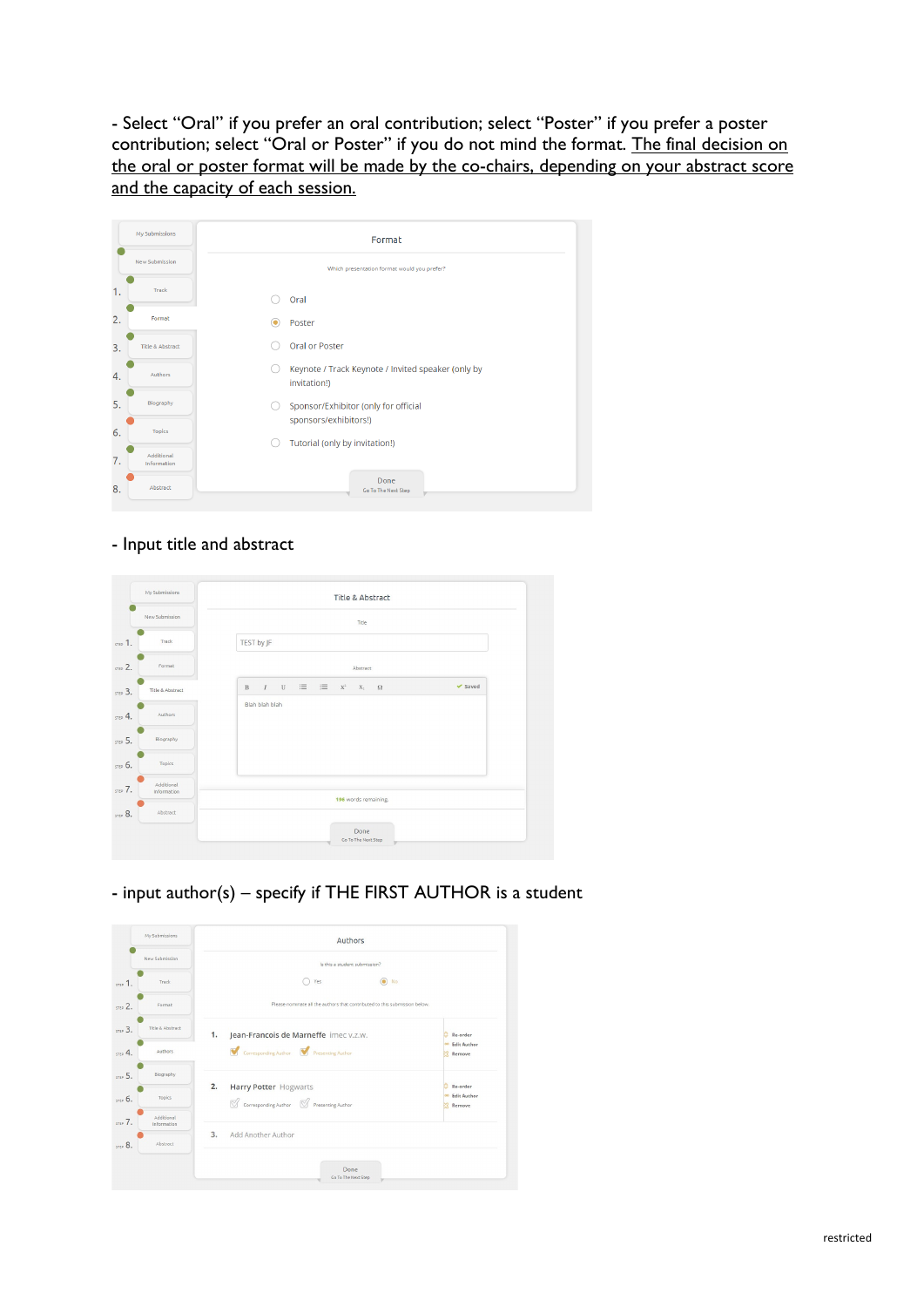- Select "Oral" if you prefer an oral contribution; select "Poster" if you prefer a poster contribution; select "Oral or Poster" if you do not mind the format. The final decision on the oral or poster format will be made by the co-chairs, depending on your abstract score and the capacity of each session.

|    | My Submissions              | Format                                                             |
|----|-----------------------------|--------------------------------------------------------------------|
|    | New Submission              | Which presentation format would you prefer?                        |
| 1. | Track                       | Oral                                                               |
| 2. | Format                      | Poster<br>۰                                                        |
| 3. | <b>Title &amp; Abstract</b> | <b>Oral or Poster</b>                                              |
| 4. | Authors                     | Keynote / Track Keynote / Invited speaker (only by<br>invitation!) |
| 5. | Biography                   | Sponsor/Exhibitor (only for official<br>sponsors/exhibitors!)      |
| 6. | <b>Topics</b>               | Tutorial (only by invitation!)                                     |
| 7. | Additional<br>Information   |                                                                    |
| 8. | Abstract                    | Done<br>Go To The Next Step                                        |

## - Input title and abstract

| My Submissions                       | Title & Abstract                                                                                                                                                               |
|--------------------------------------|--------------------------------------------------------------------------------------------------------------------------------------------------------------------------------|
| New Submission                       | Title                                                                                                                                                                          |
| Track<br>step 1.                     | TEST by JF                                                                                                                                                                     |
| Format<br>STEP 2.                    | Abstract                                                                                                                                                                       |
| Title & Abstract<br>STEP 3.          | $\mathbb{U} \quad \mathrel{\mathop:}= \quad \mathrel{\mathop:}= \quad \mathbf{X}^2 \quad \mathbf{X}_2 \quad \mathbf{\Omega}$<br>$\vee$ Saved<br>$\mathbf{B}$<br>$\overline{I}$ |
| Authors<br>$STLP$ 4.                 | Blah blah blah                                                                                                                                                                 |
| Biography<br>STEP 5.                 |                                                                                                                                                                                |
| <b>Topics</b><br>STEP 6.             |                                                                                                                                                                                |
| Additional<br>STEP 7.<br>Information | 196 words remaining.                                                                                                                                                           |
| Abstract<br>STEP 8.                  |                                                                                                                                                                                |
|                                      | Done<br>Go To The Next Step                                                                                                                                                    |

- input author(s) – specify if THE FIRST AUTHOR is a student

| New Submission<br>Is this a student submission?<br>$\circ$ No<br>Yes<br>Track.<br>$STEP$ 1.<br>Please nominate all the authors that contributed to this submission below.<br>5002<br>Format<br>Title & Abstract<br>$57003$ .<br>1.<br>Jean-Francois de Marneffe imec v.z.w.<br>Corresponding Author Presenting Author<br>Authors | Re-order                                        |
|----------------------------------------------------------------------------------------------------------------------------------------------------------------------------------------------------------------------------------------------------------------------------------------------------------------------------------|-------------------------------------------------|
|                                                                                                                                                                                                                                                                                                                                  |                                                 |
|                                                                                                                                                                                                                                                                                                                                  |                                                 |
|                                                                                                                                                                                                                                                                                                                                  |                                                 |
| STEP 4.                                                                                                                                                                                                                                                                                                                          |                                                 |
|                                                                                                                                                                                                                                                                                                                                  | <b>Edit Author</b><br>Remove                    |
| Biography<br>5.5                                                                                                                                                                                                                                                                                                                 |                                                 |
| 2.<br>Harry Potter Hogwarts<br>Topics<br>57206<br>$\mathbb S$ Corresponding Author $\mathbb S$ Presenting Author                                                                                                                                                                                                                 | Re-order<br><sup>00</sup> Edit Author<br>Remove |
| Additional<br>STEP 7.<br>Information                                                                                                                                                                                                                                                                                             |                                                 |
| 3.<br>Add Another Author<br>Abstract<br>5708.                                                                                                                                                                                                                                                                                    |                                                 |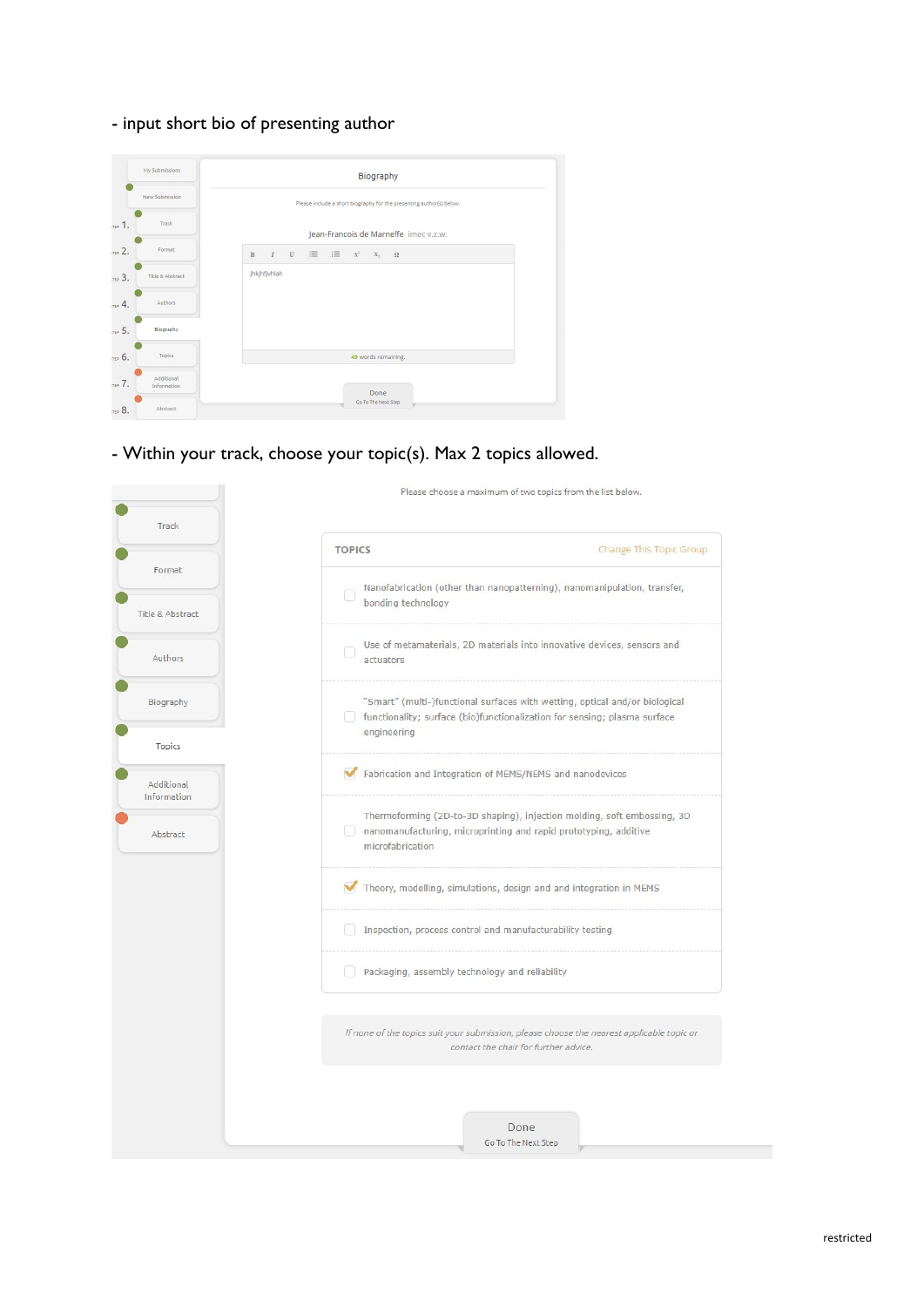- input short bio of presenting author

|            | My Submissions            | Biography                                                                                                    |
|------------|---------------------------|--------------------------------------------------------------------------------------------------------------|
|            | New Submission            | Please include a short biography for the presenting author(s) below.                                         |
| $T = 1$ .  | Track                     | Jean-Francois de Marneffe imec v.z.w.                                                                        |
| $\pi P$ 2. | Format                    | $\mathbf{u} \equiv \mathbf{u} \equiv \mathbf{x}^2$ $\mathbf{x}_2$ $\mathbf{\Omega}$<br>$I$ U<br>$\, {\bf B}$ |
| пер 3.     | Title & Abstract          | jhkjhfjvhlah                                                                                                 |
| TEP 4.     | Authors                   |                                                                                                              |
| $\pi P$ 5. | Biography                 |                                                                                                              |
| пер 6.     | Topics                    | 49 words remaining.                                                                                          |
| тер 7.     | Additional<br>Information | Done                                                                                                         |
| TEP 8.     | Abstract                  | Go To The Next Step                                                                                          |

- Within your track, choose your topic(s). Max 2 topics allowed.

|                           |                                                | Please choose a maximum of two topics from the list below.                                                                                               |
|---------------------------|------------------------------------------------|----------------------------------------------------------------------------------------------------------------------------------------------------------|
| Track                     | <b>TOPICS</b>                                  | Change This Topic Group                                                                                                                                  |
| Format                    |                                                |                                                                                                                                                          |
| Title & Abstract          | 6<br>bonding technology                        | Nanofabrication (other than nanopatterning), nanomanipulation, transfer,                                                                                 |
| Authors                   | actuators                                      | Use of metamaterials, 2D materials into innovative devices, sensors and                                                                                  |
| Biography                 | engineering                                    | "Smart" (multi-)functional surfaces with wetting, optical and/or biological<br>functionality; surface (bio)functionalization for sensing; plasma surface |
| <b>Topics</b>             |                                                |                                                                                                                                                          |
| Additional<br>Information |                                                | Fabrication and Integration of MEMS/NEMS and nanodevices                                                                                                 |
| Abstract                  | microfabrication                               | Thermoforming (2D-to-3D shaping), injection molding, soft embossing, 3D<br>nanomanufacturing, microprinting and rapid prototyping, additive              |
|                           |                                                | Theory, modelling, simulations, design and and integration in MEMS                                                                                       |
|                           |                                                | Inspection, process control and manufacturability testing                                                                                                |
|                           | Packaging, assembly technology and reliability |                                                                                                                                                          |
|                           |                                                |                                                                                                                                                          |
|                           |                                                | If none of the topics suit your submission, please choose the nearest applicable topic or<br>contact the chair for further advice.                       |
|                           |                                                |                                                                                                                                                          |
|                           |                                                | Done<br>Go To The Next Step                                                                                                                              |